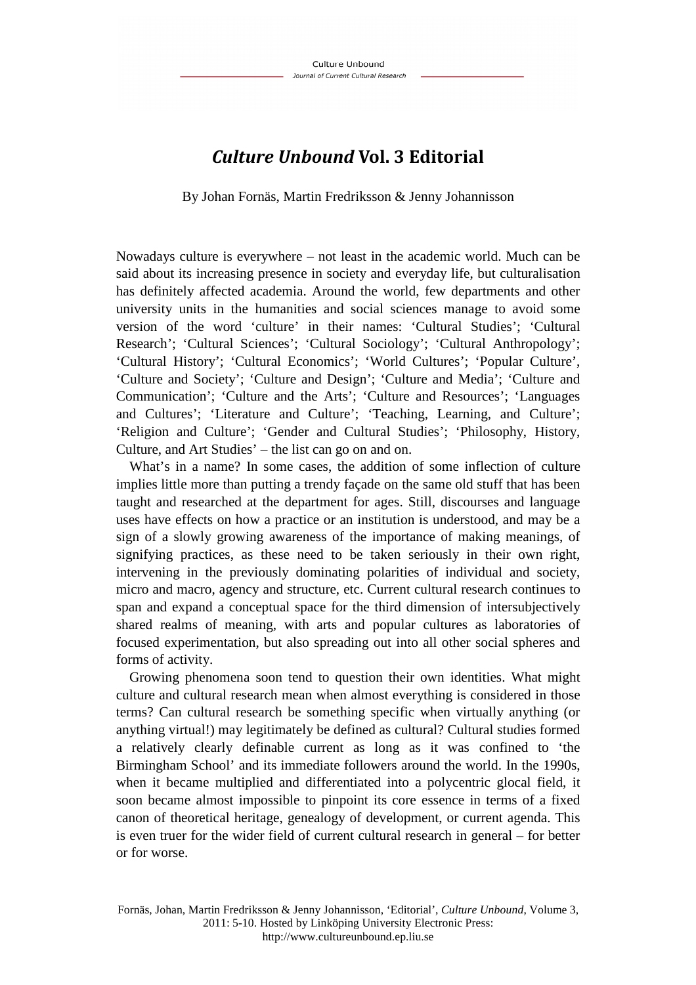## *Culture Unbound* **Vol. 3 Editorial**

By Johan Fornäs, Martin Fredriksson & Jenny Johannisson

Nowadays culture is everywhere – not least in the academic world. Much can be said about its increasing presence in society and everyday life, but culturalisation has definitely affected academia. Around the world, few departments and other university units in the humanities and social sciences manage to avoid some version of the word 'culture' in their names: 'Cultural Studies'; 'Cultural Research'; 'Cultural Sciences'; 'Cultural Sociology'; 'Cultural Anthropology'; 'Cultural History'; 'Cultural Economics'; 'World Cultures'; 'Popular Culture', 'Culture and Society'; 'Culture and Design'; 'Culture and Media'; 'Culture and Communication'; 'Culture and the Arts'; 'Culture and Resources'; 'Languages and Cultures'; 'Literature and Culture'; 'Teaching, Learning, and Culture'; 'Religion and Culture'; 'Gender and Cultural Studies'; 'Philosophy, History, Culture, and Art Studies' – the list can go on and on.

What's in a name? In some cases, the addition of some inflection of culture implies little more than putting a trendy façade on the same old stuff that has been taught and researched at the department for ages. Still, discourses and language uses have effects on how a practice or an institution is understood, and may be a sign of a slowly growing awareness of the importance of making meanings, of signifying practices, as these need to be taken seriously in their own right, intervening in the previously dominating polarities of individual and society, micro and macro, agency and structure, etc. Current cultural research continues to span and expand a conceptual space for the third dimension of intersubjectively shared realms of meaning, with arts and popular cultures as laboratories of focused experimentation, but also spreading out into all other social spheres and forms of activity.

Growing phenomena soon tend to question their own identities. What might culture and cultural research mean when almost everything is considered in those terms? Can cultural research be something specific when virtually anything (or anything virtual!) may legitimately be defined as cultural? Cultural studies formed a relatively clearly definable current as long as it was confined to 'the Birmingham School' and its immediate followers around the world. In the 1990s, when it became multiplied and differentiated into a polycentric glocal field, it soon became almost impossible to pinpoint its core essence in terms of a fixed canon of theoretical heritage, genealogy of development, or current agenda. This is even truer for the wider field of current cultural research in general – for better or for worse.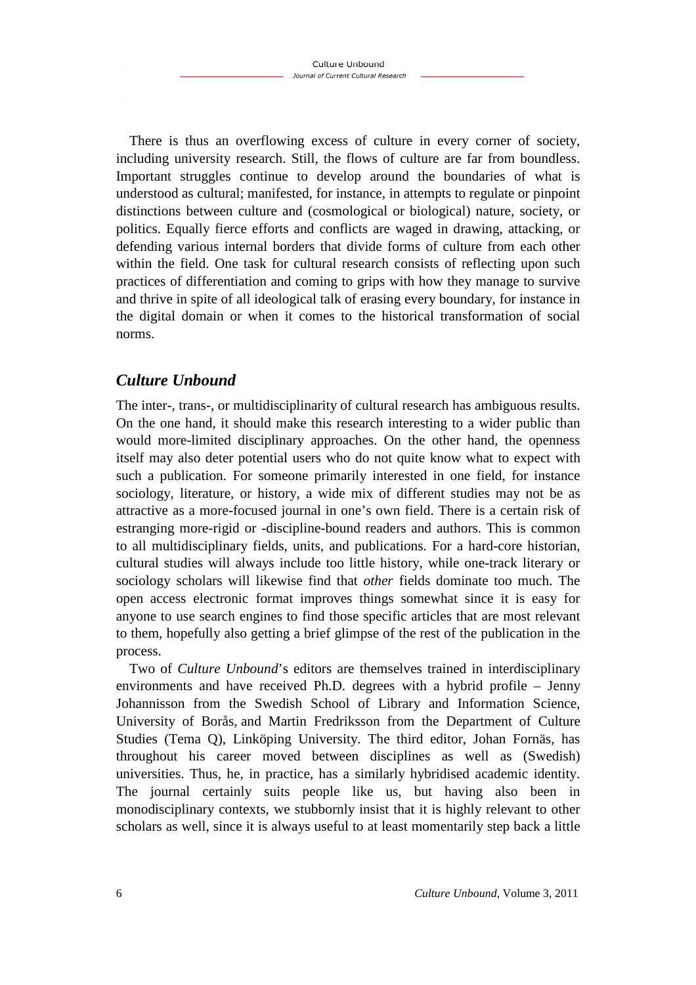There is thus an overflowing excess of culture in every corner of society, including university research. Still, the flows of culture are far from boundless. Important struggles continue to develop around the boundaries of what is understood as cultural; manifested, for instance, in attempts to regulate or pinpoint distinctions between culture and (cosmological or biological) nature, society, or politics. Equally fierce efforts and conflicts are waged in drawing, attacking, or defending various internal borders that divide forms of culture from each other within the field. One task for cultural research consists of reflecting upon such practices of differentiation and coming to grips with how they manage to survive and thrive in spite of all ideological talk of erasing every boundary, for instance in the digital domain or when it comes to the historical transformation of social norms.

## *Culture Unbound*

The inter-, trans-, or multidisciplinarity of cultural research has ambiguous results. On the one hand, it should make this research interesting to a wider public than would more-limited disciplinary approaches. On the other hand, the openness itself may also deter potential users who do not quite know what to expect with such a publication. For someone primarily interested in one field, for instance sociology, literature, or history, a wide mix of different studies may not be as attractive as a more-focused journal in one's own field. There is a certain risk of estranging more-rigid or -discipline-bound readers and authors. This is common to all multidisciplinary fields, units, and publications. For a hard-core historian, cultural studies will always include too little history, while one-track literary or sociology scholars will likewise find that *other* fields dominate too much. The open access electronic format improves things somewhat since it is easy for anyone to use search engines to find those specific articles that are most relevant to them, hopefully also getting a brief glimpse of the rest of the publication in the process.

Two of *Culture Unbound*'s editors are themselves trained in interdisciplinary environments and have received Ph.D. degrees with a hybrid profile – Jenny Johannisson from the Swedish School of Library and Information Science, University of Borås, and Martin Fredriksson from the Department of Culture Studies (Tema Q), Linköping University. The third editor, Johan Fornäs, has throughout his career moved between disciplines as well as (Swedish) universities. Thus, he, in practice, has a similarly hybridised academic identity. The journal certainly suits people like us, but having also been in monodisciplinary contexts, we stubbornly insist that it is highly relevant to other scholars as well, since it is always useful to at least momentarily step back a little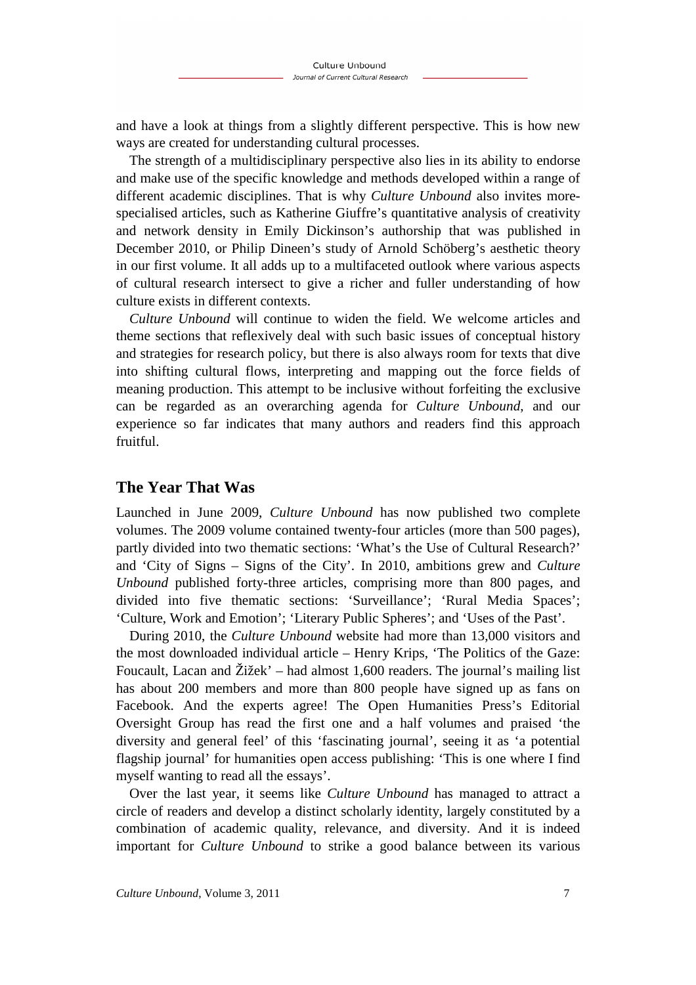and have a look at things from a slightly different perspective. This is how new ways are created for understanding cultural processes.

The strength of a multidisciplinary perspective also lies in its ability to endorse and make use of the specific knowledge and methods developed within a range of different academic disciplines. That is why *Culture Unbound* also invites morespecialised articles, such as Katherine Giuffre's quantitative analysis of creativity and network density in Emily Dickinson's authorship that was published in December 2010, or Philip Dineen's study of Arnold Schöberg's aesthetic theory in our first volume. It all adds up to a multifaceted outlook where various aspects of cultural research intersect to give a richer and fuller understanding of how culture exists in different contexts.

*Culture Unbound* will continue to widen the field. We welcome articles and theme sections that reflexively deal with such basic issues of conceptual history and strategies for research policy, but there is also always room for texts that dive into shifting cultural flows, interpreting and mapping out the force fields of meaning production. This attempt to be inclusive without forfeiting the exclusive can be regarded as an overarching agenda for *Culture Unbound*, and our experience so far indicates that many authors and readers find this approach fruitful.

## **The Year That Was**

Launched in June 2009, *Culture Unbound* has now published two complete volumes. The 2009 volume contained twenty-four articles (more than 500 pages), partly divided into two thematic sections: 'What's the Use of Cultural Research?' and 'City of Signs – Signs of the City'. In 2010, ambitions grew and *Culture Unbound* published forty-three articles, comprising more than 800 pages, and divided into five thematic sections: 'Surveillance'; 'Rural Media Spaces'; 'Culture, Work and Emotion'; 'Literary Public Spheres'; and 'Uses of the Past'.

During 2010, the *Culture Unbound* website had more than 13,000 visitors and the most downloaded individual article – Henry Krips, 'The Politics of the Gaze: Foucault, Lacan and Žižek' – had almost 1,600 readers. The journal's mailing list has about 200 members and more than 800 people have signed up as fans on Facebook. And the experts agree! The Open Humanities Press's Editorial Oversight Group has read the first one and a half volumes and praised 'the diversity and general feel' of this 'fascinating journal', seeing it as 'a potential flagship journal' for humanities open access publishing: 'This is one where I find myself wanting to read all the essays'.

Over the last year, it seems like *Culture Unbound* has managed to attract a circle of readers and develop a distinct scholarly identity, largely constituted by a combination of academic quality, relevance, and diversity. And it is indeed important for *Culture Unbound* to strike a good balance between its various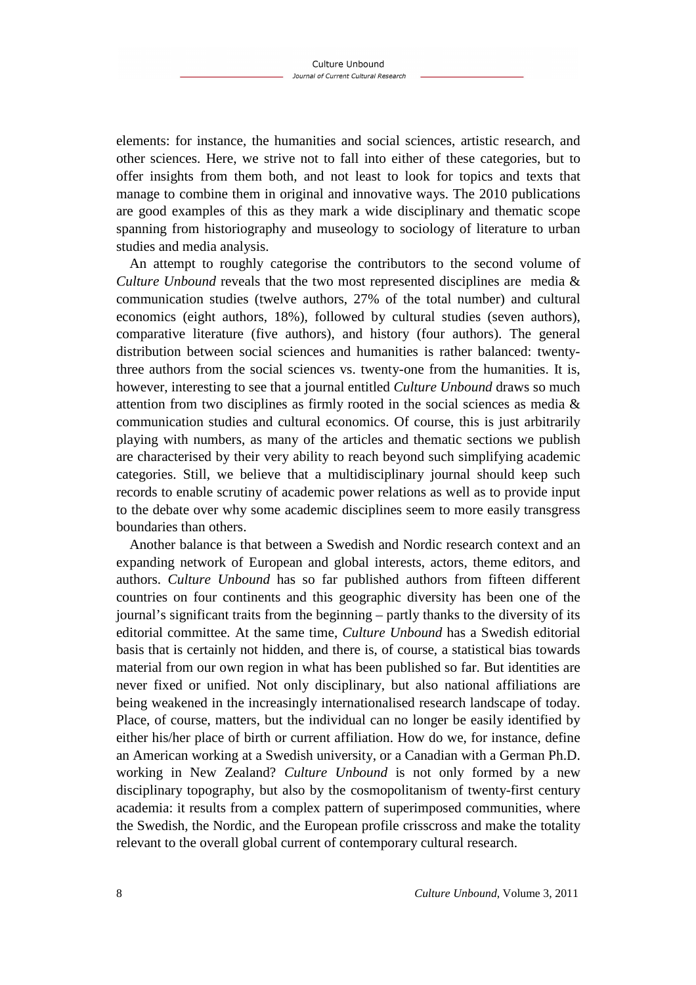elements: for instance, the humanities and social sciences, artistic research, and other sciences. Here, we strive not to fall into either of these categories, but to offer insights from them both, and not least to look for topics and texts that manage to combine them in original and innovative ways. The 2010 publications are good examples of this as they mark a wide disciplinary and thematic scope spanning from historiography and museology to sociology of literature to urban studies and media analysis.

An attempt to roughly categorise the contributors to the second volume of *Culture Unbound* reveals that the two most represented disciplines are media & communication studies (twelve authors, 27% of the total number) and cultural economics (eight authors, 18%), followed by cultural studies (seven authors), comparative literature (five authors), and history (four authors). The general distribution between social sciences and humanities is rather balanced: twentythree authors from the social sciences vs. twenty-one from the humanities. It is, however, interesting to see that a journal entitled *Culture Unbound* draws so much attention from two disciplines as firmly rooted in the social sciences as media & communication studies and cultural economics. Of course, this is just arbitrarily playing with numbers, as many of the articles and thematic sections we publish are characterised by their very ability to reach beyond such simplifying academic categories. Still, we believe that a multidisciplinary journal should keep such records to enable scrutiny of academic power relations as well as to provide input to the debate over why some academic disciplines seem to more easily transgress boundaries than others.

Another balance is that between a Swedish and Nordic research context and an expanding network of European and global interests, actors, theme editors, and authors. *Culture Unbound* has so far published authors from fifteen different countries on four continents and this geographic diversity has been one of the journal's significant traits from the beginning – partly thanks to the diversity of its editorial committee. At the same time, *Culture Unbound* has a Swedish editorial basis that is certainly not hidden, and there is, of course, a statistical bias towards material from our own region in what has been published so far. But identities are never fixed or unified. Not only disciplinary, but also national affiliations are being weakened in the increasingly internationalised research landscape of today. Place, of course, matters, but the individual can no longer be easily identified by either his/her place of birth or current affiliation. How do we, for instance, define an American working at a Swedish university, or a Canadian with a German Ph.D. working in New Zealand? *Culture Unbound* is not only formed by a new disciplinary topography, but also by the cosmopolitanism of twenty-first century academia: it results from a complex pattern of superimposed communities, where the Swedish, the Nordic, and the European profile crisscross and make the totality relevant to the overall global current of contemporary cultural research.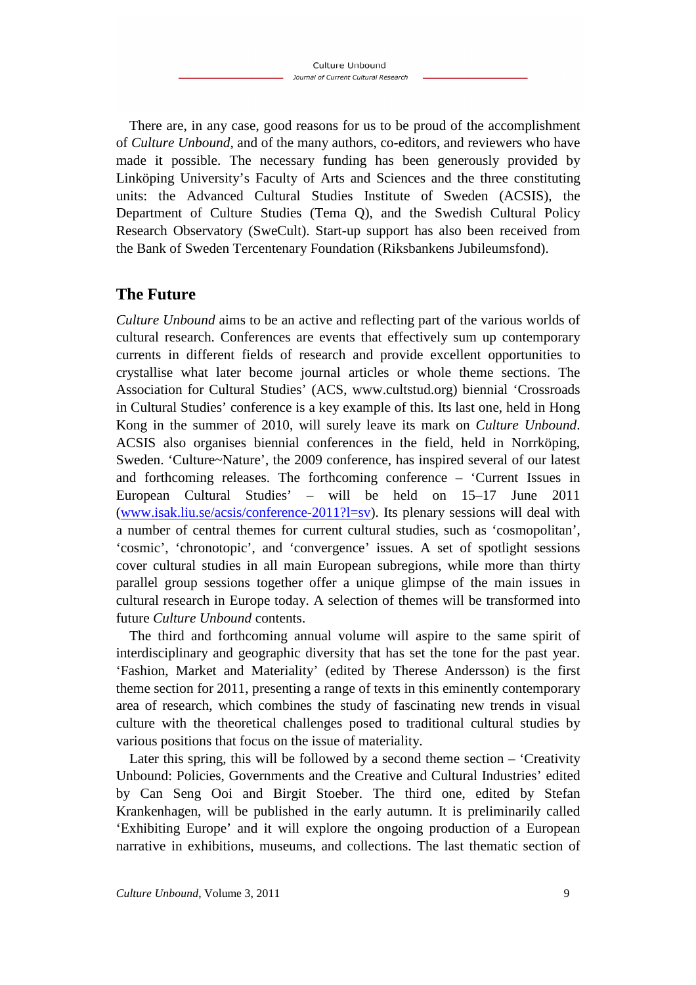There are, in any case, good reasons for us to be proud of the accomplishment of *Culture Unbound*, and of the many authors, co-editors, and reviewers who have made it possible. The necessary funding has been generously provided by Linköping University's Faculty of Arts and Sciences and the three constituting units: the Advanced Cultural Studies Institute of Sweden (ACSIS), the Department of Culture Studies (Tema Q), and the Swedish Cultural Policy Research Observatory (SweCult). Start-up support has also been received from the Bank of Sweden Tercentenary Foundation (Riksbankens Jubileumsfond).

## **The Future**

*Culture Unbound* aims to be an active and reflecting part of the various worlds of cultural research. Conferences are events that effectively sum up contemporary currents in different fields of research and provide excellent opportunities to crystallise what later become journal articles or whole theme sections. The Association for Cultural Studies' (ACS, www.cultstud.org) biennial 'Crossroads in Cultural Studies' conference is a key example of this. Its last one, held in Hong Kong in the summer of 2010, will surely leave its mark on *Culture Unbound*. ACSIS also organises biennial conferences in the field, held in Norrköping, Sweden. 'Culture~Nature', the 2009 conference, has inspired several of our latest and forthcoming releases. The forthcoming conference – 'Current Issues in European Cultural Studies' – will be held on 15–17 June 2011 (www.isak.liu.se/acsis/conference-2011?l=sv). Its plenary sessions will deal with a number of central themes for current cultural studies, such as 'cosmopolitan', 'cosmic', 'chronotopic', and 'convergence' issues. A set of spotlight sessions cover cultural studies in all main European subregions, while more than thirty parallel group sessions together offer a unique glimpse of the main issues in cultural research in Europe today. A selection of themes will be transformed into future *Culture Unbound* contents.

The third and forthcoming annual volume will aspire to the same spirit of interdisciplinary and geographic diversity that has set the tone for the past year. 'Fashion, Market and Materiality' (edited by Therese Andersson) is the first theme section for 2011, presenting a range of texts in this eminently contemporary area of research, which combines the study of fascinating new trends in visual culture with the theoretical challenges posed to traditional cultural studies by various positions that focus on the issue of materiality.

Later this spring, this will be followed by a second theme section – 'Creativity Unbound: Policies, Governments and the Creative and Cultural Industries' edited by Can Seng Ooi and Birgit Stoeber. The third one, edited by Stefan Krankenhagen, will be published in the early autumn. It is preliminarily called 'Exhibiting Europe' and it will explore the ongoing production of a European narrative in exhibitions, museums, and collections. The last thematic section of